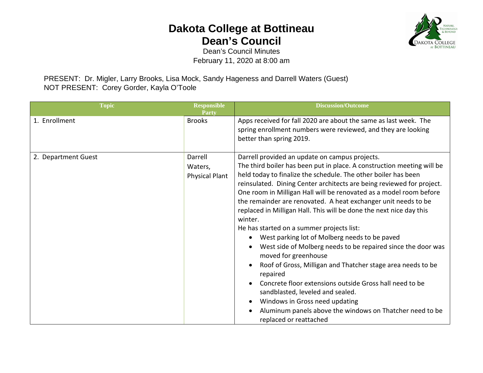## **Dakota College at Bottineau Dean's Council**



Dean's Council Minutes February 11, 2020 at 8:00 am

PRESENT: Dr. Migler, Larry Brooks, Lisa Mock, Sandy Hageness and Darrell Waters (Guest) NOT PRESENT: Corey Gorder, Kayla O'Toole

| <b>Topic</b>        | <b>Responsible</b><br>Partv                 | <b>Discussion/Outcome</b>                                                                                                                                                                                                                                                                                                                                                                                                                                                                                                                                                                                                                                                                                                                                                                                                                                                                                                                                                                                       |
|---------------------|---------------------------------------------|-----------------------------------------------------------------------------------------------------------------------------------------------------------------------------------------------------------------------------------------------------------------------------------------------------------------------------------------------------------------------------------------------------------------------------------------------------------------------------------------------------------------------------------------------------------------------------------------------------------------------------------------------------------------------------------------------------------------------------------------------------------------------------------------------------------------------------------------------------------------------------------------------------------------------------------------------------------------------------------------------------------------|
| 1. Enrollment       | <b>Brooks</b>                               | Apps received for fall 2020 are about the same as last week. The<br>spring enrollment numbers were reviewed, and they are looking<br>better than spring 2019.                                                                                                                                                                                                                                                                                                                                                                                                                                                                                                                                                                                                                                                                                                                                                                                                                                                   |
| 2. Department Guest | Darrell<br>Waters,<br><b>Physical Plant</b> | Darrell provided an update on campus projects.<br>The third boiler has been put in place. A construction meeting will be<br>held today to finalize the schedule. The other boiler has been<br>reinsulated. Dining Center architects are being reviewed for project.<br>One room in Milligan Hall will be renovated as a model room before<br>the remainder are renovated. A heat exchanger unit needs to be<br>replaced in Milligan Hall. This will be done the next nice day this<br>winter.<br>He has started on a summer projects list:<br>West parking lot of Molberg needs to be paved<br>$\bullet$<br>West side of Molberg needs to be repaired since the door was<br>moved for greenhouse<br>Roof of Gross, Milligan and Thatcher stage area needs to be<br>repaired<br>Concrete floor extensions outside Gross hall need to be<br>sandblasted, leveled and sealed.<br>Windows in Gross need updating<br>Aluminum panels above the windows on Thatcher need to be<br>$\bullet$<br>replaced or reattached |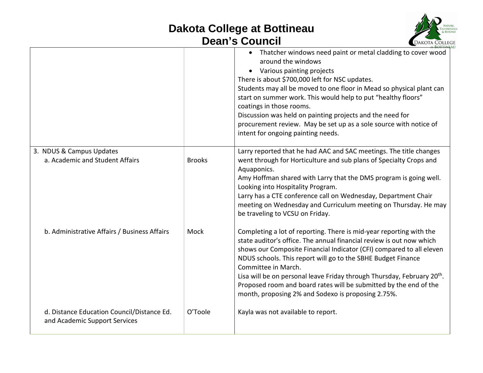## **Dakota College at Bottineau Dean's Council**



|                                                                             |               | Thatcher windows need paint or metal cladding to cover wood<br>$\bullet$<br>around the windows<br>• Various painting projects<br>There is about \$700,000 left for NSC updates.<br>Students may all be moved to one floor in Mead so physical plant can<br>start on summer work. This would help to put "healthy floors"<br>coatings in those rooms.<br>Discussion was held on painting projects and the need for<br>procurement review. May be set up as a sole source with notice of<br>intent for ongoing painting needs. |
|-----------------------------------------------------------------------------|---------------|------------------------------------------------------------------------------------------------------------------------------------------------------------------------------------------------------------------------------------------------------------------------------------------------------------------------------------------------------------------------------------------------------------------------------------------------------------------------------------------------------------------------------|
|                                                                             |               |                                                                                                                                                                                                                                                                                                                                                                                                                                                                                                                              |
| 3. NDUS & Campus Updates<br>a. Academic and Student Affairs                 | <b>Brooks</b> | Larry reported that he had AAC and SAC meetings. The title changes<br>went through for Horticulture and sub plans of Specialty Crops and<br>Aquaponics.<br>Amy Hoffman shared with Larry that the DMS program is going well.<br>Looking into Hospitality Program.<br>Larry has a CTE conference call on Wednesday, Department Chair<br>meeting on Wednesday and Curriculum meeting on Thursday. He may<br>be traveling to VCSU on Friday.                                                                                    |
| b. Administrative Affairs / Business Affairs                                | Mock          | Completing a lot of reporting. There is mid-year reporting with the<br>state auditor's office. The annual financial review is out now which<br>shows our Composite Financial Indicator (CFI) compared to all eleven<br>NDUS schools. This report will go to the SBHE Budget Finance<br>Committee in March.<br>Lisa will be on personal leave Friday through Thursday, February 20 <sup>th</sup> .<br>Proposed room and board rates will be submitted by the end of the<br>month, proposing 2% and Sodexo is proposing 2.75%. |
| d. Distance Education Council/Distance Ed.<br>and Academic Support Services | O'Toole       | Kayla was not available to report.                                                                                                                                                                                                                                                                                                                                                                                                                                                                                           |